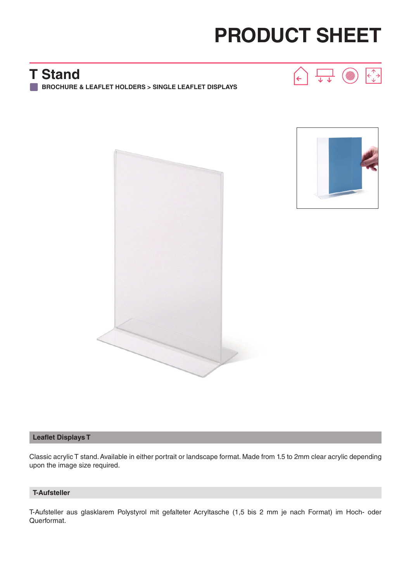# **PRODUCT SHEET**

 $\leftarrow$ 

### **T Stand**

**BROCHURE & LEAFLET HOLDERS > SINGLE LEAFLET DISPLAYS**





ᢏᡃ ᠊ᡆ

#### **Leaflet Displays T**

Classic acrylic T stand. Available in either portrait or landscape format. Made from 1.5 to 2mm clear acrylic depending upon the image size required.

#### **T-Aufsteller**

T-Aufsteller aus glasklarem Polystyrol mit gefalteter Acryltasche (1,5 bis 2 mm je nach Format) im Hoch- oder Querformat.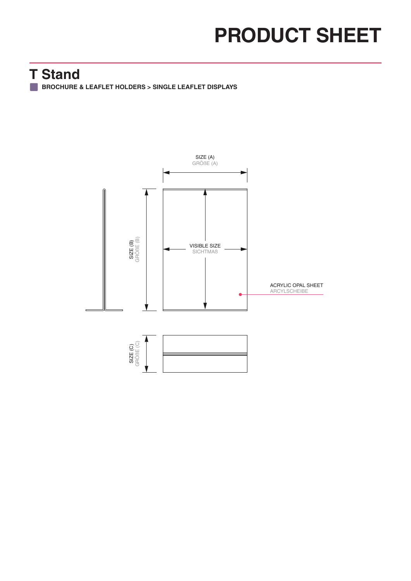## **PRODUCT SHEET**

### **T Stand**

**BROCHURE & LEAFLET HOLDERS > SINGLE LEAFLET DISPLAYS**